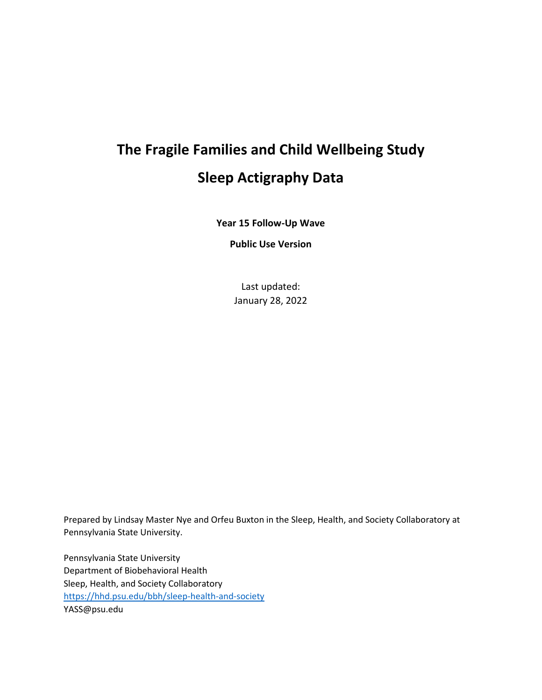# **The Fragile Families and Child Wellbeing Study Sleep Actigraphy Data**

**Year 15 Follow-Up Wave**

**Public Use Version**

Last updated: January 28, 2022

Prepared by Lindsay Master Nye and Orfeu Buxton in the Sleep, Health, and Society Collaboratory at Pennsylvania State University.

Pennsylvania State University Department of Biobehavioral Health Sleep, Health, and Society Collaboratory <https://hhd.psu.edu/bbh/sleep-health-and-society> YASS@psu.edu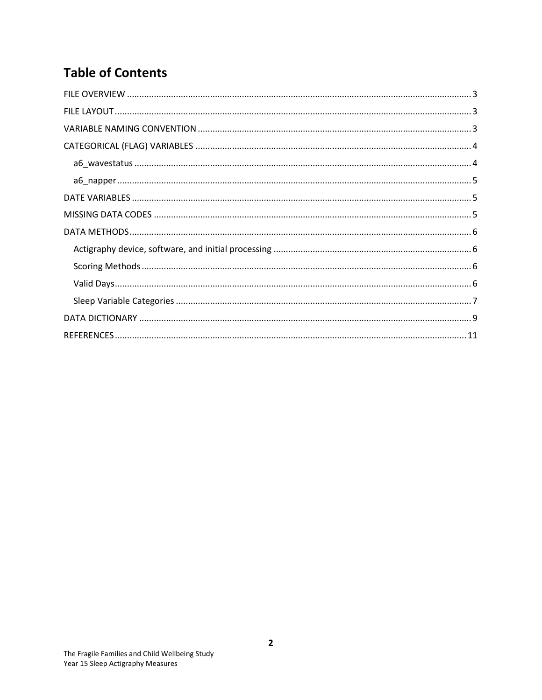# **Table of Contents**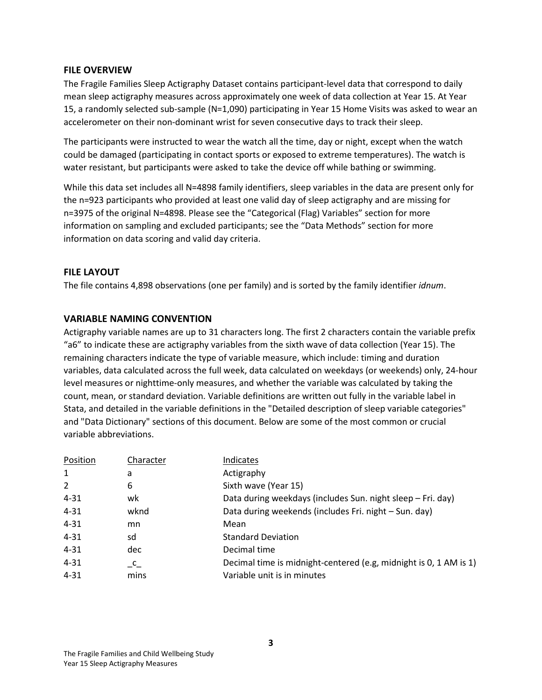#### <span id="page-2-0"></span>**FILE OVERVIEW**

The Fragile Families Sleep Actigraphy Dataset contains participant-level data that correspond to daily mean sleep actigraphy measures across approximately one week of data collection at Year 15. At Year 15, a randomly selected sub-sample (N=1,090) participating in Year 15 Home Visits was asked to wear an accelerometer on their non-dominant wrist for seven consecutive days to track their sleep.

The participants were instructed to wear the watch all the time, day or night, except when the watch could be damaged (participating in contact sports or exposed to extreme temperatures). The watch is water resistant, but participants were asked to take the device off while bathing or swimming.

While this data set includes all N=4898 family identifiers, sleep variables in the data are present only for the n=923 participants who provided at least one valid day of sleep actigraphy and are missing for n=3975 of the original N=4898. Please see the "Categorical (Flag) Variables" section for more information on sampling and excluded participants; see the "Data Methods" section for more information on data scoring and valid day criteria.

### <span id="page-2-1"></span>**FILE LAYOUT**

The file contains 4,898 observations (one per family) and is sorted by the family identifier *idnum*.

#### <span id="page-2-2"></span>**VARIABLE NAMING CONVENTION**

Actigraphy variable names are up to 31 characters long. The first 2 characters contain the variable prefix "a6" to indicate these are actigraphy variables from the sixth wave of data collection (Year 15). The remaining characters indicate the type of variable measure, which include: timing and duration variables, data calculated across the full week, data calculated on weekdays (or weekends) only, 24-hour level measures or nighttime-only measures, and whether the variable was calculated by taking the count, mean, or standard deviation. Variable definitions are written out fully in the variable label in Stata, and detailed in the variable definitions in the "Detailed description of sleep variable categories" and "Data Dictionary" sections of this document. Below are some of the most common or crucial variable abbreviations.

| Position       | Character                       | Indicates                                                         |
|----------------|---------------------------------|-------------------------------------------------------------------|
| $\mathbf{1}$   | a                               | Actigraphy                                                        |
| $\overline{2}$ | 6                               | Sixth wave (Year 15)                                              |
| $4 - 31$       | wk                              | Data during weekdays (includes Sun. night sleep - Fri. day)       |
| $4 - 31$       | wknd                            | Data during weekends (includes Fri. night - Sun. day)             |
| $4 - 31$       | mn                              | Mean                                                              |
| $4 - 31$       | sd                              | <b>Standard Deviation</b>                                         |
| $4 - 31$       | dec                             | Decimal time                                                      |
| $4 - 31$       | $\mathsf{C}\rule-1.5mm}{2.7mm}$ | Decimal time is midnight-centered (e.g, midnight is 0, 1 AM is 1) |
| $4 - 31$       | mins                            | Variable unit is in minutes                                       |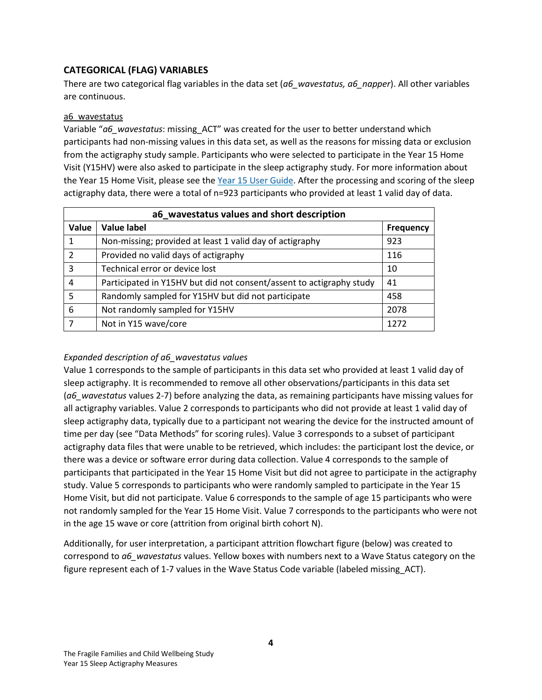# <span id="page-3-0"></span>**CATEGORICAL (FLAG) VARIABLES**

There are two categorical flag variables in the data set (*a6\_wavestatus, a6\_napper*). All other variables are continuous.

#### <span id="page-3-1"></span>a6\_wavestatus

Variable "*a6\_wavestatus*: missing\_ACT" was created for the user to better understand which participants had non-missing values in this data set, as well as the reasons for missing data or exclusion from the actigraphy study sample. Participants who were selected to participate in the Year 15 Home Visit (Y15HV) were also asked to participate in the sleep actigraphy study. For more information about the Year 15 Home Visit, please see the [Year 15 User Guide.](https://nam10.safelinks.protection.outlook.com/?url=https%3A%2F%2Ffragilefamilies.princeton.edu%2Fsites%2Ffragilefamilies%2Ffiles%2Fyear_15_guide.pdf&data=04%7C01%7Clmm5346%40psu.edu%7C3d94a8b2f17b4f4affb608d9aabecf89%7C7cf48d453ddb4389a9c1c115526eb52e%7C0%7C0%7C637728559531129402%7CUnknown%7CTWFpbGZsb3d8eyJWIjoiMC4wLjAwMDAiLCJQIjoiV2luMzIiLCJBTiI6Ik1haWwiLCJXVCI6Mn0%3D%7C3000&sdata=ycvQpF9yHSJ9jFD8H6otzPSQ%2Fn9pC7gNU9wiRIcXBiM%3D&reserved=0) After the processing and scoring of the sleep actigraphy data, there were a total of n=923 participants who provided at least 1 valid day of data.

| a6 wavestatus values and short description |                                                                      |                  |  |
|--------------------------------------------|----------------------------------------------------------------------|------------------|--|
| Value                                      | <b>Value label</b>                                                   | <b>Frequency</b> |  |
| 1                                          | Non-missing; provided at least 1 valid day of actigraphy             | 923              |  |
| $\mathcal{P}$                              | Provided no valid days of actigraphy                                 | 116              |  |
| 3                                          | Technical error or device lost                                       | 10               |  |
| 4                                          | Participated in Y15HV but did not consent/assent to actigraphy study | 41               |  |
| 5                                          | Randomly sampled for Y15HV but did not participate                   | 458              |  |
| 6                                          | Not randomly sampled for Y15HV                                       | 2078             |  |
|                                            | Not in Y15 wave/core                                                 | 1272             |  |

#### *Expanded description of a6\_wavestatus values*

Value 1 corresponds to the sample of participants in this data set who provided at least 1 valid day of sleep actigraphy. It is recommended to remove all other observations/participants in this data set (*a6\_wavestatus* values 2-7) before analyzing the data, as remaining participants have missing values for all actigraphy variables. Value 2 corresponds to participants who did not provide at least 1 valid day of sleep actigraphy data, typically due to a participant not wearing the device for the instructed amount of time per day (see "Data Methods" for scoring rules). Value 3 corresponds to a subset of participant actigraphy data files that were unable to be retrieved, which includes: the participant lost the device, or there was a device or software error during data collection. Value 4 corresponds to the sample of participants that participated in the Year 15 Home Visit but did not agree to participate in the actigraphy study. Value 5 corresponds to participants who were randomly sampled to participate in the Year 15 Home Visit, but did not participate. Value 6 corresponds to the sample of age 15 participants who were not randomly sampled for the Year 15 Home Visit. Value 7 corresponds to the participants who were not in the age 15 wave or core (attrition from original birth cohort N).

Additionally, for user interpretation, a participant attrition flowchart figure (below) was created to correspond to *a6\_wavestatus* values. Yellow boxes with numbers next to a Wave Status category on the figure represent each of 1-7 values in the Wave Status Code variable (labeled missing\_ACT).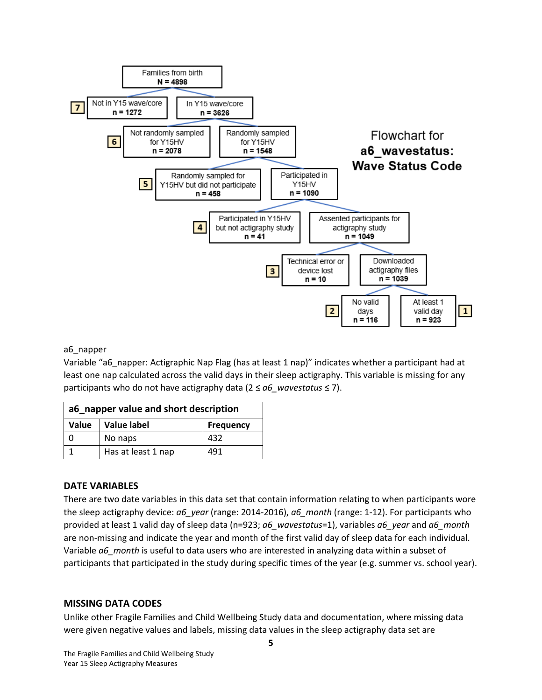

#### <span id="page-4-0"></span>a6 napper

Variable "a6\_napper: Actigraphic Nap Flag (has at least 1 nap)" indicates whether a participant had at least one nap calculated across the valid days in their sleep actigraphy. This variable is missing for any participants who do not have actigraphy data (2 ≤ *a6\_wavestatus* ≤ 7).

| a6 napper value and short description |                    |                  |
|---------------------------------------|--------------------|------------------|
| Value                                 | Value label        | <b>Frequency</b> |
|                                       | No naps            | 432              |
|                                       | Has at least 1 nap | 491              |

#### <span id="page-4-1"></span>**DATE VARIABLES**

There are two date variables in this data set that contain information relating to when participants wore the sleep actigraphy device: *a6\_year* (range: 2014-2016), *a6\_month* (range: 1-12). For participants who provided at least 1 valid day of sleep data (n=923; *a6\_wavestatus*=1), variables *a6\_year* and *a6\_month* are non-missing and indicate the year and month of the first valid day of sleep data for each individual. Variable *a6\_month* is useful to data users who are interested in analyzing data within a subset of participants that participated in the study during specific times of the year (e.g. summer vs. school year).

#### <span id="page-4-2"></span>**MISSING DATA CODES**

Unlike other Fragile Families and Child Wellbeing Study data and documentation, where missing data were given negative values and labels, missing data values in the sleep actigraphy data set are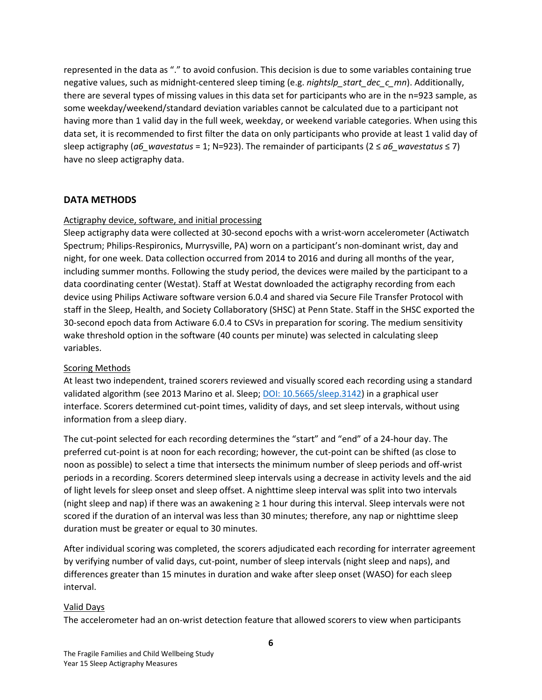represented in the data as "." to avoid confusion. This decision is due to some variables containing true negative values, such as midnight-centered sleep timing (e.g. *nightslp\_start\_dec\_c\_mn*). Additionally, there are several types of missing values in this data set for participants who are in the n=923 sample, as some weekday/weekend/standard deviation variables cannot be calculated due to a participant not having more than 1 valid day in the full week, weekday, or weekend variable categories. When using this data set, it is recommended to first filter the data on only participants who provide at least 1 valid day of sleep actigraphy ( $a6$  wavestatus = 1; N=923). The remainder of participants ( $2 \le a6$  wavestatus  $\le 7$ ) have no sleep actigraphy data.

#### <span id="page-5-0"></span>**DATA METHODS**

#### <span id="page-5-1"></span>Actigraphy device, software, and initial processing

Sleep actigraphy data were collected at 30-second epochs with a wrist-worn accelerometer (Actiwatch Spectrum; Philips-Respironics, Murrysville, PA) worn on a participant's non-dominant wrist, day and night, for one week. Data collection occurred from 2014 to 2016 and during all months of the year, including summer months. Following the study period, the devices were mailed by the participant to a data coordinating center (Westat). Staff at Westat downloaded the actigraphy recording from each device using Philips Actiware software version 6.0.4 and shared via Secure File Transfer Protocol with staff in the Sleep, Health, and Society Collaboratory (SHSC) at Penn State. Staff in the SHSC exported the 30-second epoch data from Actiware 6.0.4 to CSVs in preparation for scoring. The medium sensitivity wake threshold option in the software (40 counts per minute) was selected in calculating sleep variables.

#### <span id="page-5-2"></span>Scoring Methods

At least two independent, trained scorers reviewed and visually scored each recording using a standard validated algorithm (see 2013 Marino et al. Sleep; [DOI: 10.5665/sleep.3142\)](https://academic.oup.com/sleep/article/36/11/1747/2558963) in a graphical user interface. Scorers determined cut-point times, validity of days, and set sleep intervals, without using information from a sleep diary.

The cut-point selected for each recording determines the "start" and "end" of a 24-hour day. The preferred cut-point is at noon for each recording; however, the cut-point can be shifted (as close to noon as possible) to select a time that intersects the minimum number of sleep periods and off-wrist periods in a recording. Scorers determined sleep intervals using a decrease in activity levels and the aid of light levels for sleep onset and sleep offset. A nighttime sleep interval was split into two intervals (night sleep and nap) if there was an awakening ≥ 1 hour during this interval. Sleep intervals were not scored if the duration of an interval was less than 30 minutes; therefore, any nap or nighttime sleep duration must be greater or equal to 30 minutes.

After individual scoring was completed, the scorers adjudicated each recording for interrater agreement by verifying number of valid days, cut-point, number of sleep intervals (night sleep and naps), and differences greater than 15 minutes in duration and wake after sleep onset (WASO) for each sleep interval.

#### <span id="page-5-3"></span>Valid Days

The accelerometer had an on-wrist detection feature that allowed scorers to view when participants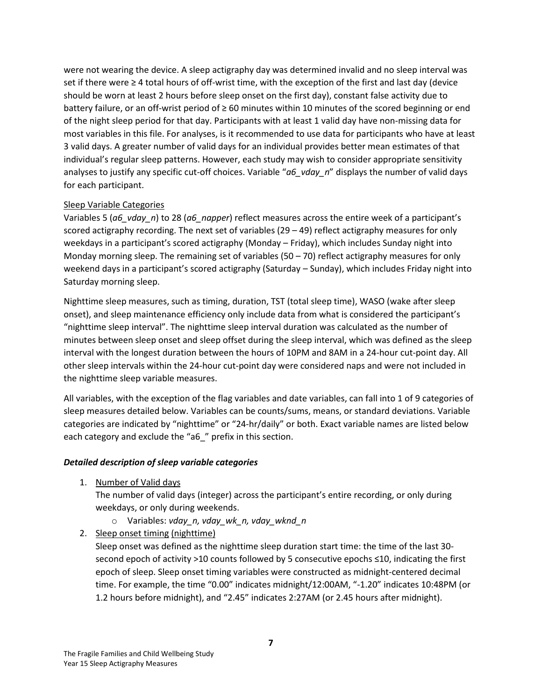were not wearing the device. A sleep actigraphy day was determined invalid and no sleep interval was set if there were ≥ 4 total hours of off-wrist time, with the exception of the first and last day (device should be worn at least 2 hours before sleep onset on the first day), constant false activity due to battery failure, or an off-wrist period of ≥ 60 minutes within 10 minutes of the scored beginning or end of the night sleep period for that day. Participants with at least 1 valid day have non-missing data for most variables in this file. For analyses, is it recommended to use data for participants who have at least 3 valid days. A greater number of valid days for an individual provides better mean estimates of that individual's regular sleep patterns. However, each study may wish to consider appropriate sensitivity analyses to justify any specific cut-off choices. Variable "*a6\_vday\_n*" displays the number of valid days for each participant.

#### <span id="page-6-0"></span>Sleep Variable Categories

Variables 5 (*a6\_vday\_n*) to 28 (*a6\_napper*) reflect measures across the entire week of a participant's scored actigraphy recording. The next set of variables (29 – 49) reflect actigraphy measures for only weekdays in a participant's scored actigraphy (Monday – Friday), which includes Sunday night into Monday morning sleep. The remaining set of variables (50 – 70) reflect actigraphy measures for only weekend days in a participant's scored actigraphy (Saturday – Sunday), which includes Friday night into Saturday morning sleep.

Nighttime sleep measures, such as timing, duration, TST (total sleep time), WASO (wake after sleep onset), and sleep maintenance efficiency only include data from what is considered the participant's "nighttime sleep interval". The nighttime sleep interval duration was calculated as the number of minutes between sleep onset and sleep offset during the sleep interval, which was defined as the sleep interval with the longest duration between the hours of 10PM and 8AM in a 24-hour cut-point day. All other sleep intervals within the 24-hour cut-point day were considered naps and were not included in the nighttime sleep variable measures.

All variables, with the exception of the flag variables and date variables, can fall into 1 of 9 categories of sleep measures detailed below. Variables can be counts/sums, means, or standard deviations. Variable categories are indicated by "nighttime" or "24-hr/daily" or both. Exact variable names are listed below each category and exclude the "a6" prefix in this section.

#### *Detailed description of sleep variable categories*

1. Number of Valid days

The number of valid days (integer) across the participant's entire recording, or only during weekdays, or only during weekends.

- o Variables: *vday\_n, vday\_wk\_n, vday\_wknd\_n*
- 2. Sleep onset timing (nighttime)

Sleep onset was defined as the nighttime sleep duration start time: the time of the last 30 second epoch of activity >10 counts followed by 5 consecutive epochs ≤10, indicating the first epoch of sleep. Sleep onset timing variables were constructed as midnight-centered decimal time. For example, the time "0.00" indicates midnight/12:00AM, "-1.20" indicates 10:48PM (or 1.2 hours before midnight), and "2.45" indicates 2:27AM (or 2.45 hours after midnight).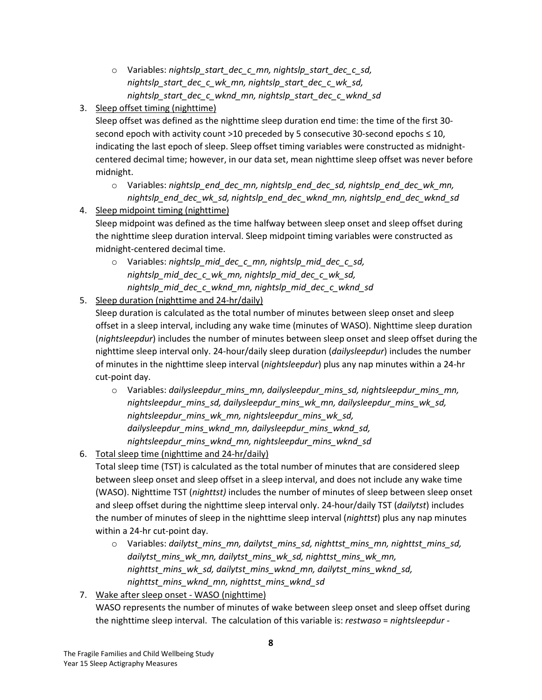- o Variables: *nightslp\_start\_dec\_c\_mn, nightslp\_start\_dec\_c\_sd, nightslp\_start\_dec\_c\_wk\_mn, nightslp\_start\_dec\_c\_wk\_sd, nightslp\_start\_dec\_c\_wknd\_mn, nightslp\_start\_dec\_c\_wknd\_sd*
- 3. Sleep offset timing (nighttime)

Sleep offset was defined as the nighttime sleep duration end time: the time of the first 30 second epoch with activity count >10 preceded by 5 consecutive 30-second epochs  $\leq 10$ , indicating the last epoch of sleep. Sleep offset timing variables were constructed as midnightcentered decimal time; however, in our data set, mean nighttime sleep offset was never before midnight.

- o Variables: *nightslp\_end\_dec\_mn, nightslp\_end\_dec\_sd, nightslp\_end\_dec\_wk\_mn, nightslp\_end\_dec\_wk\_sd, nightslp\_end\_dec\_wknd\_mn, nightslp\_end\_dec\_wknd\_sd*
- 4. Sleep midpoint timing (nighttime)

Sleep midpoint was defined as the time halfway between sleep onset and sleep offset during the nighttime sleep duration interval. Sleep midpoint timing variables were constructed as midnight-centered decimal time.

- o Variables: *nightslp\_mid\_dec\_c\_mn, nightslp\_mid\_dec\_c\_sd, nightslp\_mid\_dec\_c\_wk\_mn, nightslp\_mid\_dec\_c\_wk\_sd, nightslp\_mid\_dec\_c\_wknd\_mn, nightslp\_mid\_dec\_c\_wknd\_sd*
- 5. Sleep duration (nighttime and 24-hr/daily)

Sleep duration is calculated as the total number of minutes between sleep onset and sleep offset in a sleep interval, including any wake time (minutes of WASO). Nighttime sleep duration (*nightsleepdur*) includes the number of minutes between sleep onset and sleep offset during the nighttime sleep interval only. 24-hour/daily sleep duration (*dailysleepdur*) includes the number of minutes in the nighttime sleep interval (*nightsleepdur*) plus any nap minutes within a 24-hr cut-point day.

- o Variables: *dailysleepdur\_mins\_mn, dailysleepdur\_mins\_sd, nightsleepdur\_mins\_mn, nightsleepdur\_mins\_sd, dailysleepdur\_mins\_wk\_mn, dailysleepdur\_mins\_wk\_sd, nightsleepdur\_mins\_wk\_mn, nightsleepdur\_mins\_wk\_sd, dailysleepdur\_mins\_wknd\_mn, dailysleepdur\_mins\_wknd\_sd, nightsleepdur\_mins\_wknd\_mn, nightsleepdur\_mins\_wknd\_sd*
- 6. Total sleep time (nighttime and 24-hr/daily)

Total sleep time (TST) is calculated as the total number of minutes that are considered sleep between sleep onset and sleep offset in a sleep interval, and does not include any wake time (WASO). Nighttime TST (*nighttst)* includes the number of minutes of sleep between sleep onset and sleep offset during the nighttime sleep interval only. 24-hour/daily TST (*dailytst*) includes the number of minutes of sleep in the nighttime sleep interval (*nighttst*) plus any nap minutes within a 24-hr cut-point day.

- o Variables: *dailytst\_mins\_mn, dailytst\_mins\_sd, nighttst\_mins\_mn, nighttst\_mins\_sd, dailytst\_mins\_wk\_mn, dailytst\_mins\_wk\_sd, nighttst\_mins\_wk\_mn, nighttst\_mins\_wk\_sd, dailytst\_mins\_wknd\_mn, dailytst\_mins\_wknd\_sd, nighttst\_mins\_wknd\_mn, nighttst\_mins\_wknd\_sd*
- 7. Wake after sleep onset WASO (nighttime)

WASO represents the number of minutes of wake between sleep onset and sleep offset during the nighttime sleep interval. The calculation of this variable is: *restwaso* = *nightsleepdur -*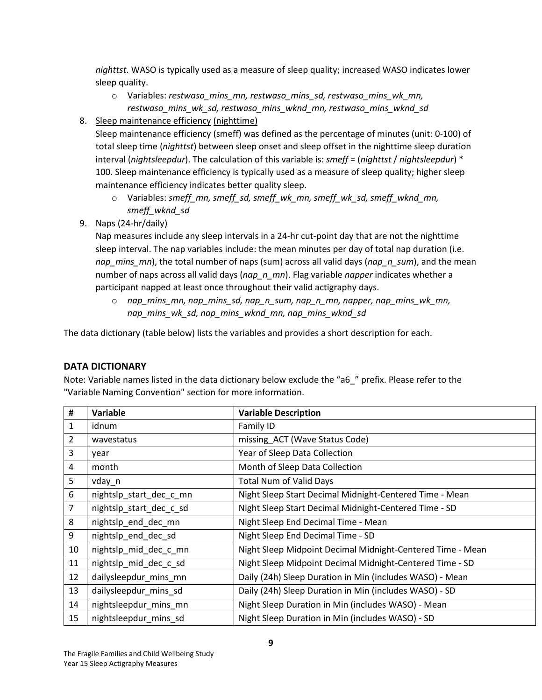*nighttst*. WASO is typically used as a measure of sleep quality; increased WASO indicates lower sleep quality.

- o Variables: *restwaso\_mins\_mn, restwaso\_mins\_sd, restwaso\_mins\_wk\_mn, restwaso\_mins\_wk\_sd, restwaso\_mins\_wknd\_mn, restwaso\_mins\_wknd\_sd*
- 8. Sleep maintenance efficiency (nighttime)

Sleep maintenance efficiency (smeff) was defined as the percentage of minutes (unit: 0-100) of total sleep time (*nighttst*) between sleep onset and sleep offset in the nighttime sleep duration interval (*nightsleepdur*). The calculation of this variable is: *smeff* = (*nighttst* / *nightsleepdur*) \* 100. Sleep maintenance efficiency is typically used as a measure of sleep quality; higher sleep maintenance efficiency indicates better quality sleep.

- o Variables: *smeff\_mn, smeff\_sd, smeff\_wk\_mn, smeff\_wk\_sd, smeff\_wknd\_mn, smeff\_wknd\_sd*
- 9. Naps (24-hr/daily)

Nap measures include any sleep intervals in a 24-hr cut-point day that are not the nighttime sleep interval. The nap variables include: the mean minutes per day of total nap duration (i.e. *nap\_mins\_mn*), the total number of naps (sum) across all valid days (*nap\_n\_sum*), and the mean number of naps across all valid days (*nap\_n\_mn*). Flag variable *napper* indicates whether a participant napped at least once throughout their valid actigraphy days.

o *nap\_mins\_mn, nap\_mins\_sd, nap\_n\_sum, nap\_n\_mn, napper, nap\_mins\_wk\_mn, nap\_mins\_wk\_sd, nap\_mins\_wknd\_mn, nap\_mins\_wknd\_sd*

The data dictionary (table below) lists the variables and provides a short description for each.

# <span id="page-8-0"></span>**DATA DICTIONARY**

Note: Variable names listed in the data dictionary below exclude the "a6\_" prefix. Please refer to the "Variable Naming Convention" section for more information.

| #              | Variable                | <b>Variable Description</b>                                |
|----------------|-------------------------|------------------------------------------------------------|
| 1              | idnum                   | Family ID                                                  |
| $\overline{2}$ | wavestatus              | missing_ACT (Wave Status Code)                             |
| 3              | year                    | Year of Sleep Data Collection                              |
| 4              | month                   | Month of Sleep Data Collection                             |
| 5              | vday_n                  | <b>Total Num of Valid Days</b>                             |
| 6              | nightslp_start_dec_c_mn | Night Sleep Start Decimal Midnight-Centered Time - Mean    |
| $\overline{7}$ | nightslp start dec c sd | Night Sleep Start Decimal Midnight-Centered Time - SD      |
| 8              | nightslp_end_dec_mn     | Night Sleep End Decimal Time - Mean                        |
| 9              | nightslp_end_dec_sd     | Night Sleep End Decimal Time - SD                          |
| 10             | nightslp_mid_dec_c_mn   | Night Sleep Midpoint Decimal Midnight-Centered Time - Mean |
| 11             | nightslp_mid_dec_c_sd   | Night Sleep Midpoint Decimal Midnight-Centered Time - SD   |
| 12             | dailysleepdur_mins_mn   | Daily (24h) Sleep Duration in Min (includes WASO) - Mean   |
| 13             | dailysleepdur mins sd   | Daily (24h) Sleep Duration in Min (includes WASO) - SD     |
| 14             | nightsleepdur_mins_mn   | Night Sleep Duration in Min (includes WASO) - Mean         |
| 15             | nightsleepdur mins sd   | Night Sleep Duration in Min (includes WASO) - SD           |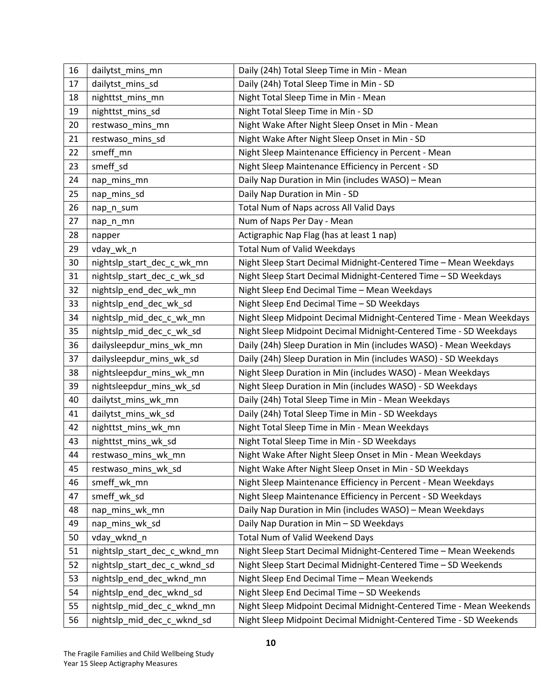| 16 | dailytst_mins_mn             | Daily (24h) Total Sleep Time in Min - Mean                          |
|----|------------------------------|---------------------------------------------------------------------|
| 17 | dailytst_mins_sd             | Daily (24h) Total Sleep Time in Min - SD                            |
| 18 | nighttst_mins_mn             | Night Total Sleep Time in Min - Mean                                |
| 19 | nighttst_mins_sd             | Night Total Sleep Time in Min - SD                                  |
| 20 | restwaso_mins_mn             | Night Wake After Night Sleep Onset in Min - Mean                    |
| 21 | restwaso_mins_sd             | Night Wake After Night Sleep Onset in Min - SD                      |
| 22 | smeff_mn                     | Night Sleep Maintenance Efficiency in Percent - Mean                |
| 23 | smeff sd                     | Night Sleep Maintenance Efficiency in Percent - SD                  |
| 24 | nap_mins_mn                  | Daily Nap Duration in Min (includes WASO) - Mean                    |
| 25 | nap_mins_sd                  | Daily Nap Duration in Min - SD                                      |
| 26 | nap_n_sum                    | Total Num of Naps across All Valid Days                             |
| 27 | nap_n_mn                     | Num of Naps Per Day - Mean                                          |
| 28 | napper                       | Actigraphic Nap Flag (has at least 1 nap)                           |
| 29 | vday_wk_n                    | Total Num of Valid Weekdays                                         |
| 30 | nightslp_start_dec_c_wk_mn   | Night Sleep Start Decimal Midnight-Centered Time - Mean Weekdays    |
| 31 | nightslp_start_dec_c_wk_sd   | Night Sleep Start Decimal Midnight-Centered Time - SD Weekdays      |
| 32 | nightslp_end_dec_wk_mn       | Night Sleep End Decimal Time - Mean Weekdays                        |
| 33 | nightslp_end_dec_wk_sd       | Night Sleep End Decimal Time - SD Weekdays                          |
| 34 | nightslp_mid_dec_c_wk_mn     | Night Sleep Midpoint Decimal Midnight-Centered Time - Mean Weekdays |
| 35 | nightslp_mid_dec_c_wk_sd     | Night Sleep Midpoint Decimal Midnight-Centered Time - SD Weekdays   |
| 36 | dailysleepdur_mins_wk_mn     | Daily (24h) Sleep Duration in Min (includes WASO) - Mean Weekdays   |
| 37 | dailysleepdur_mins_wk_sd     | Daily (24h) Sleep Duration in Min (includes WASO) - SD Weekdays     |
| 38 | nightsleepdur_mins_wk_mn     | Night Sleep Duration in Min (includes WASO) - Mean Weekdays         |
| 39 | nightsleepdur_mins_wk_sd     | Night Sleep Duration in Min (includes WASO) - SD Weekdays           |
| 40 | dailytst_mins_wk_mn          | Daily (24h) Total Sleep Time in Min - Mean Weekdays                 |
| 41 | dailytst_mins_wk_sd          | Daily (24h) Total Sleep Time in Min - SD Weekdays                   |
| 42 | nighttst_mins_wk_mn          | Night Total Sleep Time in Min - Mean Weekdays                       |
| 43 | nighttst_mins_wk_sd          | Night Total Sleep Time in Min - SD Weekdays                         |
| 44 | restwaso mins wk mn          | Night Wake After Night Sleep Onset in Min - Mean Weekdays           |
| 45 | restwaso_mins_wk_sd          | Night Wake After Night Sleep Onset in Min - SD Weekdays             |
| 46 | smeff_wk_mn                  | Night Sleep Maintenance Efficiency in Percent - Mean Weekdays       |
| 47 | smeff_wk_sd                  | Night Sleep Maintenance Efficiency in Percent - SD Weekdays         |
| 48 | nap_mins_wk_mn               | Daily Nap Duration in Min (includes WASO) - Mean Weekdays           |
| 49 | nap_mins_wk_sd               | Daily Nap Duration in Min - SD Weekdays                             |
| 50 | vday_wknd_n                  | <b>Total Num of Valid Weekend Days</b>                              |
| 51 | nightslp_start_dec_c_wknd_mn | Night Sleep Start Decimal Midnight-Centered Time - Mean Weekends    |
| 52 | nightslp_start_dec_c_wknd_sd | Night Sleep Start Decimal Midnight-Centered Time - SD Weekends      |
| 53 | nightslp_end_dec_wknd_mn     | Night Sleep End Decimal Time - Mean Weekends                        |
| 54 | nightslp_end_dec_wknd_sd     | Night Sleep End Decimal Time - SD Weekends                          |
| 55 | nightslp_mid_dec_c_wknd_mn   | Night Sleep Midpoint Decimal Midnight-Centered Time - Mean Weekends |
| 56 | nightslp_mid_dec_c_wknd_sd   | Night Sleep Midpoint Decimal Midnight-Centered Time - SD Weekends   |